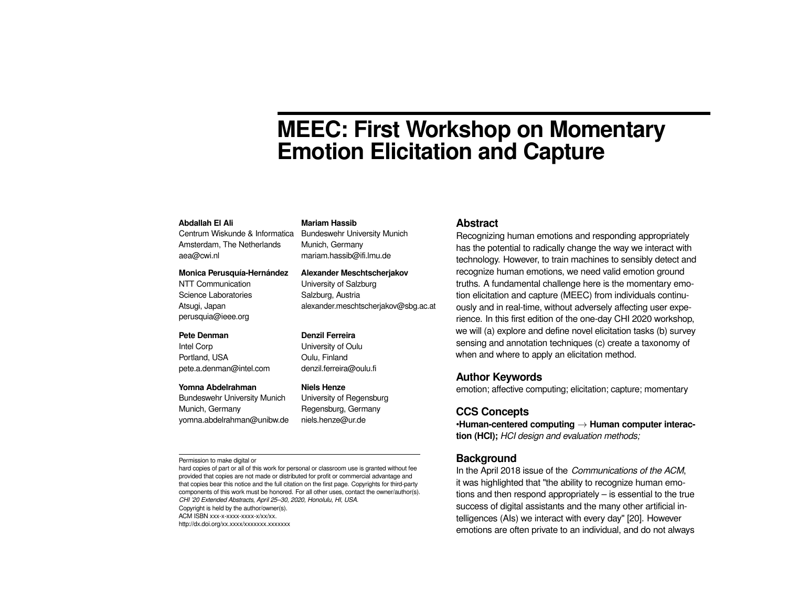# **MEEC: First Workshop on Momentary Emotion Elicitation and Capture**

#### **Abdallah El Ali**

Centrum Wiskunde & Informatica Amsterdam, The Netherlands aea@cwi.nl

#### **Monica Perusquía-Hernández**

NTT Communication Science Laboratories Atsugi, Japan perusquia@ieee.org

#### **Pete Denman**

Intel Corp Portland, USA pete.a.denman@intel.com

#### **Yomna Abdelrahman**

Bundeswehr University Munich Munich, Germany yomna.abdelrahman@unibw.de

**Niels Henze** University of Regensburg Regensburg, Germany niels.henze@ur.de

**Mariam Hassib**

Munich, Germany mariam.hassib@ifi.lmu.de

**Denzil Ferreira** University of Oulu Oulu, Finland denzil.ferreira@oulu.fi

Bundeswehr University Munich

**Alexander Meschtscherjakov** University of Salzburg Salzburg, Austria

alexander.meschtscherjakov@sbg.ac.at

#### Permission to make digital or

hard copies of part or all of this work for personal or classroom use is granted without fee provided that copies are not made or distributed for profit or commercial advantage and that copies bear this notice and the full citation on the first page. Copyrights for third-party components of this work must be honored. For all other uses, contact the owner/author(s). *CHI '20 Extended Abstracts, April 25–30, 2020, Honolulu, HI, USA.*

Copyright is held by the author/owner(s).

ACM ISBN xxx-x-xxxx-xxxx-x/xx/xx.

http://dx.doi.org/xx.xxxx/xxxxxxxx.xxxxxx

#### **Abstract**

Recognizing human emotions and responding appropriately has the potential to radically change the way we interact with technology. However, to train machines to sensibly detect and recognize human emotions, we need valid emotion ground truths. A fundamental challenge here is the momentary emotion elicitation and capture (MEEC) from individuals continuously and in real-time, without adversely affecting user experience. In this first edition of the one-day CHI 2020 workshop, we will (a) explore and define novel elicitation tasks (b) survey sensing and annotation techniques (c) create a taxonomy of when and where to apply an elicitation method.

#### **Author Keywords**

emotion; affective computing; elicitation; capture; momentary

#### **CCS Concepts**

•**Human-centered computing** → **Human computer interaction (HCI);** *HCI design and evaluation methods;*

## **Background**

In the April 2018 issue of the *Communications of the ACM*, it was highlighted that "the ability to recognize human emotions and then respond appropriately – is essential to the true success of digital assistants and the many other artificial intelligences (AIs) we interact with every day" [\[20\]](#page-7-0). However emotions are often private to an individual, and do not always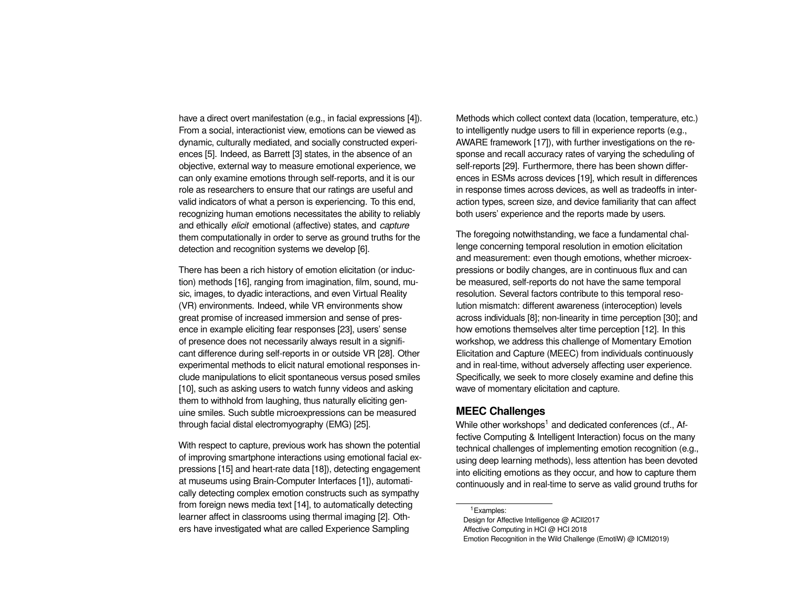have a direct overt manifestation (e.g., in facial expressions [\[4\]](#page-6-0)). From a social, interactionist view, emotions can be viewed as dynamic, culturally mediated, and socially constructed experiences [\[5\]](#page-6-1). Indeed, as Barrett [\[3\]](#page-6-2) states, in the absence of an objective, external way to measure emotional experience, we can only examine emotions through self-reports, and it is our role as researchers to ensure that our ratings are useful and valid indicators of what a person is experiencing. To this end, recognizing human emotions necessitates the ability to reliably and ethically *elicit* emotional (affective) states, and *capture* them computationally in order to serve as ground truths for the detection and recognition systems we develop [\[6\]](#page-6-3).

There has been a rich history of emotion elicitation (or induction) methods [\[16\]](#page-6-4), ranging from imagination, film, sound, music, images, to dyadic interactions, and even Virtual Reality (VR) environments. Indeed, while VR environments show great promise of increased immersion and sense of presence in example eliciting fear responses [\[23\]](#page-7-1), users' sense of presence does not necessarily always result in a significant difference during self-reports in or outside VR [\[28\]](#page-7-2). Other experimental methods to elicit natural emotional responses include manipulations to elicit spontaneous versus posed smiles [\[10\]](#page-6-5), such as asking users to watch funny videos and asking them to withhold from laughing, thus naturally eliciting genuine smiles. Such subtle microexpressions can be measured through facial distal electromyography (EMG) [\[25\]](#page-7-3).

With respect to capture, previous work has shown the potential of improving smartphone interactions using emotional facial expressions [\[15\]](#page-6-6) and heart-rate data [\[18\]](#page-7-4)), detecting engagement at museums using Brain-Computer Interfaces [\[1\]](#page-5-0)), automatically detecting complex emotion constructs such as sympathy from foreign news media text [\[14\]](#page-6-7), to automatically detecting learner affect in classrooms using thermal imaging [\[2\]](#page-6-8). Others have investigated what are called Experience Sampling

Methods which collect context data (location, temperature, etc.) to intelligently nudge users to fill in experience reports (e.g., AWARE framework [\[17\]](#page-6-9)), with further investigations on the response and recall accuracy rates of varying the scheduling of self-reports [\[29\]](#page-7-5). Furthermore, there has been shown differences in ESMs across devices [\[19\]](#page-7-6), which result in differences in response times across devices, as well as tradeoffs in interaction types, screen size, and device familiarity that can affect both users' experience and the reports made by users.

The foregoing notwithstanding, we face a fundamental challenge concerning temporal resolution in emotion elicitation and measurement: even though emotions, whether microexpressions or bodily changes, are in continuous flux and can be measured, self-reports do not have the same temporal resolution. Several factors contribute to this temporal resolution mismatch: different awareness (interoception) levels across individuals [\[8\]](#page-6-10); non-linearity in time perception [\[30\]](#page-7-7); and how emotions themselves alter time perception [\[12\]](#page-6-11). In this workshop, we address this challenge of Momentary Emotion Elicitation and Capture (MEEC) from individuals continuously and in real-time, without adversely affecting user experience. Specifically, we seek to more closely examine and define this wave of momentary elicitation and capture.

# **MEEC Challenges**

While other workshops<sup>[1](#page-1-0)</sup> and dedicated conferences (cf., Affective Computing & Intelligent Interaction) focus on the many technical challenges of implementing emotion recognition (e.g., using deep learning methods), less attention has been devoted into eliciting emotions as they occur, and how to capture them continuously and in real-time to serve as valid ground truths for

<span id="page-1-0"></span><sup>1</sup>Examples:

Design for Affective Intelligence @ ACII2017 Affective Computing in HCI @ HCI 2018 Emotion Recognition in the Wild Challenge (EmotiW) @ ICMI2019)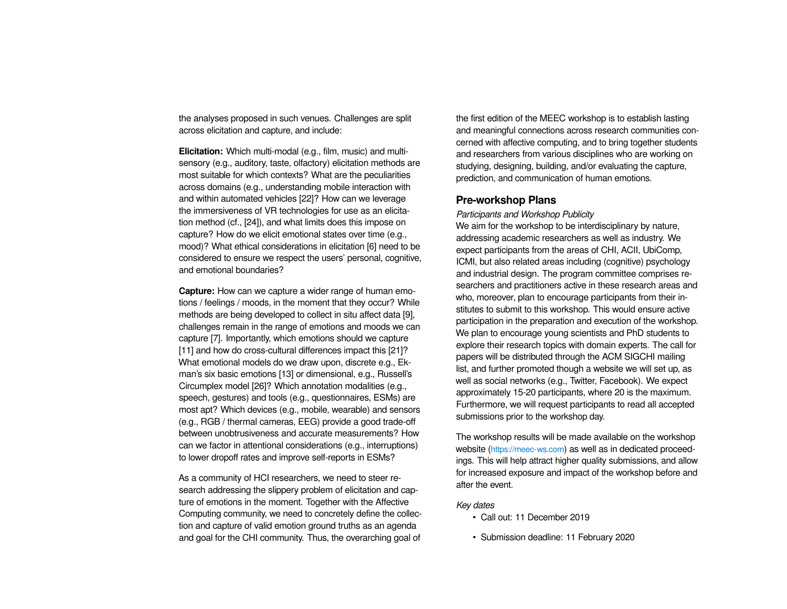the analyses proposed in such venues. Challenges are split across elicitation and capture, and include:

**Elicitation:** Which multi-modal (e.g., film, music) and multisensory (e.g., auditory, taste, olfactory) elicitation methods are most suitable for which contexts? What are the peculiarities across domains (e.g., understanding mobile interaction with and within automated vehicles [\[22\]](#page-7-8)? How can we leverage the immersiveness of VR technologies for use as an elicitation method (cf., [\[24\]](#page-7-9)), and what limits does this impose on capture? How do we elicit emotional states over time (e.g., mood)? What ethical considerations in elicitation [\[6\]](#page-6-3) need to be considered to ensure we respect the users' personal, cognitive, and emotional boundaries?

**Capture:** How can we capture a wider range of human emotions / feelings / moods, in the moment that they occur? While methods are being developed to collect in situ affect data [\[9\]](#page-6-12), challenges remain in the range of emotions and moods we can capture [\[7\]](#page-6-13). Importantly, which emotions should we capture [\[11\]](#page-6-14) and how do cross-cultural differences impact this [\[21\]](#page-7-10)? What emotional models do we draw upon, discrete e.g., Ekman's six basic emotions [\[13\]](#page-6-15) or dimensional, e.g., Russell's Circumplex model [\[26\]](#page-7-11)? Which annotation modalities (e.g., speech, gestures) and tools (e.g., questionnaires, ESMs) are most apt? Which devices (e.g., mobile, wearable) and sensors (e.g., RGB / thermal cameras, EEG) provide a good trade-off between unobtrusiveness and accurate measurements? How can we factor in attentional considerations (e.g., interruptions) to lower dropoff rates and improve self-reports in ESMs?

As a community of HCI researchers, we need to steer research addressing the slippery problem of elicitation and capture of emotions in the moment. Together with the Affective Computing community, we need to concretely define the collection and capture of valid emotion ground truths as an agenda and goal for the CHI community. Thus, the overarching goal of

the first edition of the MEEC workshop is to establish lasting and meaningful connections across research communities concerned with affective computing, and to bring together students and researchers from various disciplines who are working on studying, designing, building, and/or evaluating the capture, prediction, and communication of human emotions.

## **Pre-workshop Plans**

*Participants and Workshop Publicity*

We aim for the workshop to be interdisciplinary by nature, addressing academic researchers as well as industry. We expect participants from the areas of CHI, ACII, UbiComp, ICMI, but also related areas including (cognitive) psychology and industrial design. The program committee comprises researchers and practitioners active in these research areas and who, moreover, plan to encourage participants from their institutes to submit to this workshop. This would ensure active participation in the preparation and execution of the workshop. We plan to encourage young scientists and PhD students to explore their research topics with domain experts. The call for papers will be distributed through the ACM SIGCHI mailing list, and further promoted though a website we will set up, as well as social networks (e.g., Twitter, Facebook). We expect approximately 15-20 participants, where 20 is the maximum. Furthermore, we will request participants to read all accepted submissions prior to the workshop day.

The workshop results will be made available on the workshop website (<https://meec-ws.com>) as well as in dedicated proceedings. This will help attract higher quality submissions, and allow for increased exposure and impact of the workshop before and after the event.

#### *Key dates*

- Call out: 11 December 2019
- Submission deadline: 11 February 2020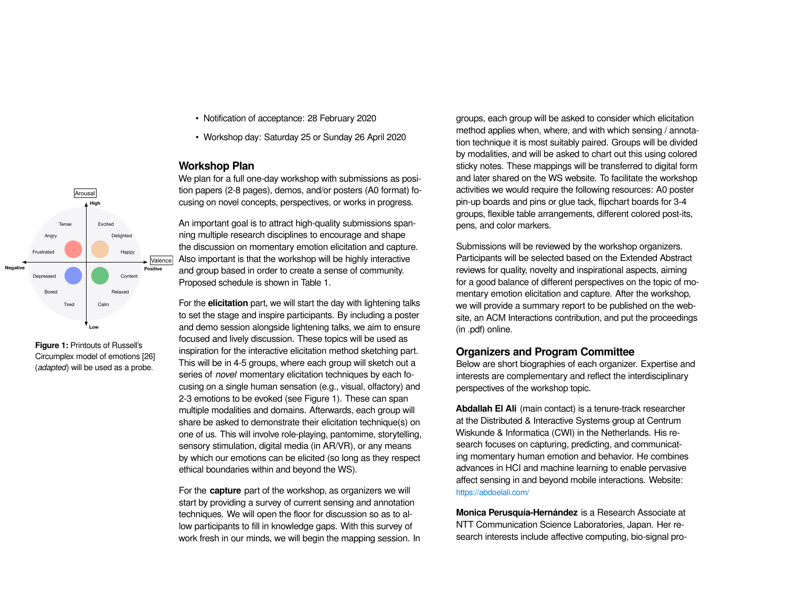- Notification of acceptance: 28 February 2020
- Workshop day: Saturday 25 or Sunday 26 April 2020

#### **Workshop Plan**

We plan for a full one-day workshop with submissions as position papers (2-8 pages), demos, and/or posters (A0 format) focusing on novel concepts, perspectives, or works in progress.

An important goal is to attract high-quality submissions spanning multiple research disciplines to encourage and shape the discussion on momentary emotion elicitation and capture. Also important is that the workshop will be highly interactive and group based in order to create a sense of community. Proposed schedule is shown in [Table 1.](#page-4-0)

For the **elicitation** part, we will start the day with lightening talks to set the stage and inspire participants. By including a poster and demo session alongside lightening talks, we aim to ensure focused and lively discussion. These topics will be used as inspiration for the interactive elicitation method sketching part. This will be in 4-5 groups, where each group will sketch out a series of *novel* momentary elicitation techniques by each focusing on a single human sensation (e.g., visual, olfactory) and 2-3 emotions to be evoked (see [Figure 1\)](#page-3-0). These can span multiple modalities and domains. Afterwards, each group will share be asked to demonstrate their elicitation technique(s) on one of us. This will involve role-playing, pantomime, storytelling, sensory stimulation, digital media (in AR/VR), or any means by which our emotions can be elicited (so long as they respect ethical boundaries within and beyond the WS).

For the **capture** part of the workshop, as organizers we will start by providing a survey of current sensing and annotation techniques. We will open the floor for discussion so as to allow participants to fill in knowledge gaps. With this survey of work fresh in our minds, we will begin the mapping session. In groups, each group will be asked to consider which elicitation method applies when, where, and with which sensing / annotation technique it is most suitably paired. Groups will be divided by modalities, and will be asked to chart out this using colored sticky notes. These mappings will be transferred to digital form and later shared on the WS website. To facilitate the workshop activities we would require the following resources: A0 poster pin-up boards and pins or glue tack, flipchart boards for 3-4 groups, flexible table arrangements, different colored post-its, pens, and color markers.

Submissions will be reviewed by the workshop organizers. Participants will be selected based on the Extended Abstract reviews for quality, novelty and inspirational aspects, aiming for a good balance of different perspectives on the topic of momentary emotion elicitation and capture. After the workshop, we will provide a summary report to be published on the website, an ACM Interactions contribution, and put the proceedings (in .pdf) online.

## **Organizers and Program Committee**

Below are short biographies of each organizer. Expertise and interests are complementary and reflect the interdisciplinary perspectives of the workshop topic.

**Abdallah El Ali** (main contact) is a tenure-track researcher at the Distributed & Interactive Systems group at Centrum Wiskunde & Informatica (CWI) in the Netherlands. His research focuses on capturing, predicting, and communicating momentary human emotion and behavior. He combines advances in HCI and machine learning to enable pervasive affect sensing in and beyond mobile interactions. Website: <https://abdoelali.com/>

**Monica Perusquía-Hernández** is a Research Associate at NTT Communication Science Laboratories, Japan. Her research interests include affective computing, bio-signal pro-



<span id="page-3-0"></span>**Figure 1:** Printouts of Russell's Circumplex model of emotions [\[26\]](#page-7-11) (*adapted*) will be used as a probe.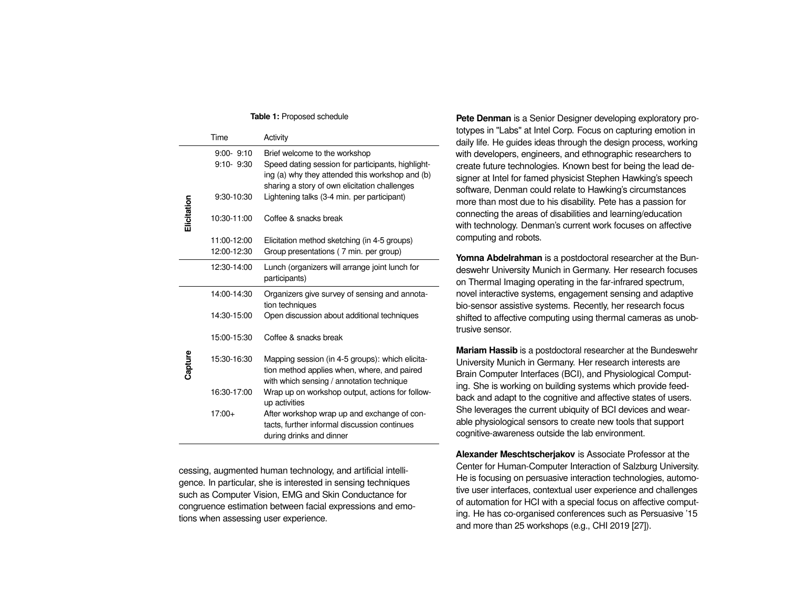#### **Table 1:** Proposed schedule

<span id="page-4-0"></span>

|             | Time                           | Activity                                                                                                                                                                               |
|-------------|--------------------------------|----------------------------------------------------------------------------------------------------------------------------------------------------------------------------------------|
|             | $9:00 - 9:10$<br>$9:10 - 9:30$ | Brief welcome to the workshop<br>Speed dating session for participants, highlight-<br>ing (a) why they attended this workshop and (b)<br>sharing a story of own elicitation challenges |
|             | 9:30-10:30                     | Lightening talks (3-4 min. per participant)                                                                                                                                            |
| Elicitation | 10:30-11:00                    | Coffee & snacks break                                                                                                                                                                  |
|             | 11:00-12:00                    | Elicitation method sketching (in 4-5 groups)                                                                                                                                           |
|             | 12:00-12:30                    | Group presentations (7 min. per group)                                                                                                                                                 |
|             | 12:30-14:00                    | Lunch (organizers will arrange joint lunch for<br>participants)                                                                                                                        |
|             | 14:00-14:30                    | Organizers give survey of sensing and annota-<br>tion techniques                                                                                                                       |
|             | 14:30-15:00                    | Open discussion about additional techniques                                                                                                                                            |
|             | 15:00-15:30                    | Coffee & snacks break                                                                                                                                                                  |
| Capture     | 15:30-16:30                    | Mapping session (in 4-5 groups): which elicita-<br>tion method applies when, where, and paired<br>with which sensing / annotation technique                                            |
|             | 16:30-17:00                    | Wrap up on workshop output, actions for follow-<br>up activities                                                                                                                       |
|             | $17:00+$                       | After workshop wrap up and exchange of con-<br>tacts, further informal discussion continues<br>during drinks and dinner                                                                |

cessing, augmented human technology, and artificial intelligence. In particular, she is interested in sensing techniques such as Computer Vision, EMG and Skin Conductance for congruence estimation between facial expressions and emotions when assessing user experience.

**Pete Denman** is a Senior Designer developing exploratory prototypes in "Labs" at Intel Corp. Focus on capturing emotion in daily life. He guides ideas through the design process, working with developers, engineers, and ethnographic researchers to create future technologies. Known best for being the lead designer at Intel for famed physicist Stephen Hawking's speech software, Denman could relate to Hawking's circumstances more than most due to his disability. Pete has a passion for connecting the areas of disabilities and learning/education with technology. Denman's current work focuses on affective computing and robots.

**Yomna Abdelrahman** is a postdoctoral researcher at the Bundeswehr University Munich in Germany. Her research focuses on Thermal Imaging operating in the far-infrared spectrum, novel interactive systems, engagement sensing and adaptive bio-sensor assistive systems. Recently, her research focus shifted to affective computing using thermal cameras as unobtrusive sensor.

**Mariam Hassib** is a postdoctoral researcher at the Bundeswehr University Munich in Germany. Her research interests are Brain Computer Interfaces (BCI), and Physiological Computing. She is working on building systems which provide feedback and adapt to the cognitive and affective states of users. She leverages the current ubiquity of BCI devices and wearable physiological sensors to create new tools that support cognitive-awareness outside the lab environment.

**Alexander Meschtscherjakov** is Associate Professor at the Center for Human-Computer Interaction of Salzburg University. He is focusing on persuasive interaction technologies, automotive user interfaces, contextual user experience and challenges of automation for HCI with a special focus on affective computing. He has co-organised conferences such as Persuasive '15 and more than 25 workshops (e.g., CHI 2019 [\[27\]](#page-7-12)).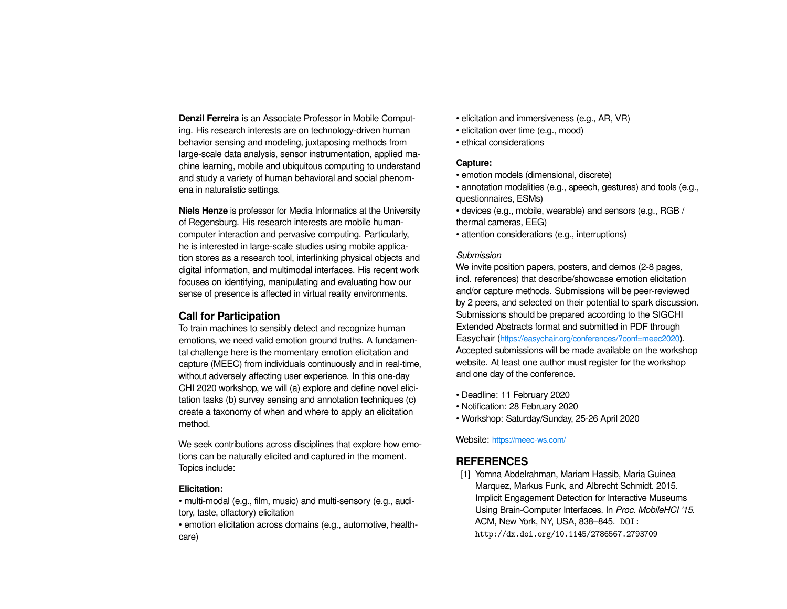**Denzil Ferreira** is an Associate Professor in Mobile Computing. His research interests are on technology-driven human behavior sensing and modeling, juxtaposing methods from large-scale data analysis, sensor instrumentation, applied machine learning, mobile and ubiquitous computing to understand and study a variety of human behavioral and social phenomena in naturalistic settings.

**Niels Henze** is professor for Media Informatics at the University of Regensburg. His research interests are mobile humancomputer interaction and pervasive computing. Particularly, he is interested in large-scale studies using mobile application stores as a research tool, interlinking physical objects and digital information, and multimodal interfaces. His recent work focuses on identifying, manipulating and evaluating how our sense of presence is affected in virtual reality environments.

## **Call for Participation**

To train machines to sensibly detect and recognize human emotions, we need valid emotion ground truths. A fundamental challenge here is the momentary emotion elicitation and capture (MEEC) from individuals continuously and in real-time, without adversely affecting user experience. In this one-day CHI 2020 workshop, we will (a) explore and define novel elicitation tasks (b) survey sensing and annotation techniques (c) create a taxonomy of when and where to apply an elicitation method.

We seek contributions across disciplines that explore how emotions can be naturally elicited and captured in the moment. Topics include:

## **Elicitation:**

• multi-modal (e.g., film, music) and multi-sensory (e.g., auditory, taste, olfactory) elicitation

• emotion elicitation across domains (e.g., automotive, healthcare)

- elicitation and immersiveness (e.g., AR, VR)
- elicitation over time (e.g., mood)
- ethical considerations

## **Capture:**

- emotion models (dimensional, discrete)
- annotation modalities (e.g., speech, gestures) and tools (e.g., questionnaires, ESMs)
- devices (e.g., mobile, wearable) and sensors (e.g., RGB / thermal cameras, EEG)
- attention considerations (e.g., interruptions)

## *Submission*

We invite position papers, posters, and demos (2-8 pages, incl. references) that describe/showcase emotion elicitation and/or capture methods. Submissions will be peer-reviewed by 2 peers, and selected on their potential to spark discussion. Submissions should be prepared according to the SIGCHI Extended Abstracts format and submitted in PDF through Easychair (<https://easychair.org/conferences/?conf=meec2020>). Accepted submissions will be made available on the workshop website. At least one author must register for the workshop and one day of the conference.

- Deadline: 11 February 2020
- Notification: 28 February 2020
- Workshop: Saturday/Sunday, 25-26 April 2020

Website: <https://meec-ws.com/>

# **REFERENCES**

<span id="page-5-0"></span>[1] Yomna Abdelrahman, Mariam Hassib, Maria Guinea Marquez, Markus Funk, and Albrecht Schmidt. 2015. Implicit Engagement Detection for Interactive Museums Using Brain-Computer Interfaces. In *Proc. MobileHCI '15*. ACM, New York, NY, USA, 838–845. DOI: <http://dx.doi.org/10.1145/2786567.2793709>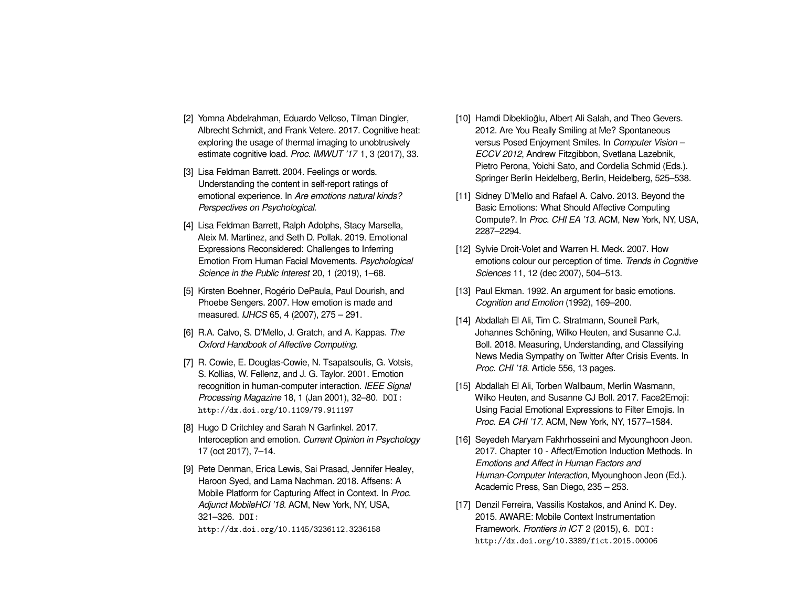- <span id="page-6-8"></span>[2] Yomna Abdelrahman, Eduardo Velloso, Tilman Dingler, Albrecht Schmidt, and Frank Vetere. 2017. Cognitive heat: exploring the usage of thermal imaging to unobtrusively estimate cognitive load. *Proc. IMWUT '17* 1, 3 (2017), 33.
- <span id="page-6-2"></span>[3] Lisa Feldman Barrett, 2004. Feelings or words. Understanding the content in self-report ratings of emotional experience. In *Are emotions natural kinds? Perspectives on Psychological*.
- <span id="page-6-0"></span>[4] Lisa Feldman Barrett, Ralph Adolphs, Stacy Marsella, Aleix M. Martinez, and Seth D. Pollak. 2019. Emotional Expressions Reconsidered: Challenges to Inferring Emotion From Human Facial Movements. *Psychological Science in the Public Interest* 20, 1 (2019), 1–68.
- <span id="page-6-1"></span>[5] Kirsten Boehner, Rogério DePaula, Paul Dourish, and Phoebe Sengers. 2007. How emotion is made and measured. *IJHCS* 65, 4 (2007), 275 – 291.
- <span id="page-6-3"></span>[6] R.A. Calvo, S. D'Mello, J. Gratch, and A. Kappas. *The Oxford Handbook of Affective Computing*.
- <span id="page-6-13"></span>[7] R. Cowie, E. Douglas-Cowie, N. Tsapatsoulis, G. Votsis, S. Kollias, W. Fellenz, and J. G. Taylor. 2001. Emotion recognition in human-computer interaction. *IEEE Signal Processing Magazine* 18, 1 (Jan 2001), 32–80. DOI: <http://dx.doi.org/10.1109/79.911197>
- <span id="page-6-10"></span>[8] Hugo D Critchley and Sarah N Garfinkel. 2017. Interoception and emotion. *Current Opinion in Psychology* 17 (oct 2017), 7–14.
- <span id="page-6-12"></span>[9] Pete Denman, Erica Lewis, Sai Prasad, Jennifer Healey, Haroon Syed, and Lama Nachman. 2018. Affsens: A Mobile Platform for Capturing Affect in Context. In *Proc. Adjunct MobileHCI '18*. ACM, New York, NY, USA, 321–326. DOI:

<http://dx.doi.org/10.1145/3236112.3236158>

- <span id="page-6-5"></span>[10] Hamdi Dibeklioğlu, Albert Ali Salah, and Theo Gevers. 2012. Are You Really Smiling at Me? Spontaneous versus Posed Enjoyment Smiles. In *Computer Vision – ECCV 2012*, Andrew Fitzgibbon, Svetlana Lazebnik, Pietro Perona, Yoichi Sato, and Cordelia Schmid (Eds.). Springer Berlin Heidelberg, Berlin, Heidelberg, 525–538.
- <span id="page-6-14"></span>[11] Sidney D'Mello and Rafael A. Calvo. 2013. Beyond the Basic Emotions: What Should Affective Computing Compute?. In *Proc. CHI EA '13*. ACM, New York, NY, USA, 2287–2294.
- <span id="page-6-11"></span>[12] Sylvie Droit-Volet and Warren H. Meck. 2007. How emotions colour our perception of time. *Trends in Cognitive Sciences* 11, 12 (dec 2007), 504–513.
- <span id="page-6-15"></span>[13] Paul Ekman. 1992. An argument for basic emotions. *Cognition and Emotion* (1992), 169–200.
- <span id="page-6-7"></span>[14] Abdallah El Ali, Tim C. Stratmann, Souneil Park, Johannes Schöning, Wilko Heuten, and Susanne C.J. Boll. 2018. Measuring, Understanding, and Classifying News Media Sympathy on Twitter After Crisis Events. In *Proc. CHI '18*. Article 556, 13 pages.
- <span id="page-6-6"></span>[15] Abdallah El Ali, Torben Wallbaum, Merlin Wasmann, Wilko Heuten, and Susanne CJ Boll. 2017. Face2Emoji: Using Facial Emotional Expressions to Filter Emojis. In *Proc. EA CHI '17*. ACM, New York, NY, 1577–1584.
- <span id="page-6-4"></span>[16] Seyedeh Maryam Fakhrhosseini and Myounghoon Jeon. 2017. Chapter 10 - Affect/Emotion Induction Methods. In *Emotions and Affect in Human Factors and Human-Computer Interaction*, Myounghoon Jeon (Ed.). Academic Press, San Diego, 235 – 253.
- <span id="page-6-9"></span>[17] Denzil Ferreira, Vassilis Kostakos, and Anind K. Dey. 2015. AWARE: Mobile Context Instrumentation Framework. *Frontiers in ICT* 2 (2015), 6. DOI: <http://dx.doi.org/10.3389/fict.2015.00006>